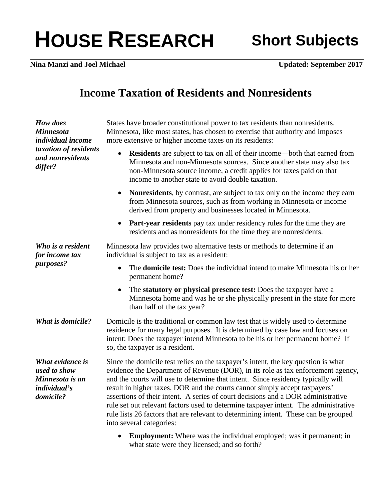## HOUSE RESEARCH Short Subjects

**Nina Manzi and Joel Michael Updated: September 2017**

## **Income Taxation of Residents and Nonresidents**

| How does<br><b>Minnesota</b><br><i>individual income</i><br>taxation of residents<br>and nonresidents<br>differ? | States have broader constitutional power to tax residents than nonresidents.<br>Minnesota, like most states, has chosen to exercise that authority and imposes<br>more extensive or higher income taxes on its residents:                                                                                                                                                                                                                                                                                                                                                                                                             |
|------------------------------------------------------------------------------------------------------------------|---------------------------------------------------------------------------------------------------------------------------------------------------------------------------------------------------------------------------------------------------------------------------------------------------------------------------------------------------------------------------------------------------------------------------------------------------------------------------------------------------------------------------------------------------------------------------------------------------------------------------------------|
|                                                                                                                  | <b>Residents</b> are subject to tax on all of their income—both that earned from<br>$\bullet$<br>Minnesota and non-Minnesota sources. Since another state may also tax<br>non-Minnesota source income, a credit applies for taxes paid on that<br>income to another state to avoid double taxation.                                                                                                                                                                                                                                                                                                                                   |
|                                                                                                                  | Nonresidents, by contrast, are subject to tax only on the income they earn<br>$\bullet$<br>from Minnesota sources, such as from working in Minnesota or income<br>derived from property and businesses located in Minnesota.                                                                                                                                                                                                                                                                                                                                                                                                          |
|                                                                                                                  | <b>Part-year residents</b> pay tax under residency rules for the time they are<br>$\bullet$<br>residents and as nonresidents for the time they are nonresidents.                                                                                                                                                                                                                                                                                                                                                                                                                                                                      |
| Who is a resident<br>for income tax<br>purposes?                                                                 | Minnesota law provides two alternative tests or methods to determine if an<br>individual is subject to tax as a resident:                                                                                                                                                                                                                                                                                                                                                                                                                                                                                                             |
|                                                                                                                  | The <b>domicile test:</b> Does the individual intend to make Minnesota his or her<br>$\bullet$<br>permanent home?                                                                                                                                                                                                                                                                                                                                                                                                                                                                                                                     |
|                                                                                                                  | The statutory or physical presence test: Does the taxpayer have a<br>$\bullet$<br>Minnesota home and was he or she physically present in the state for more<br>than half of the tax year?                                                                                                                                                                                                                                                                                                                                                                                                                                             |
| <b>What is domicile?</b>                                                                                         | Domicile is the traditional or common law test that is widely used to determine<br>residence for many legal purposes. It is determined by case law and focuses on<br>intent: Does the taxpayer intend Minnesota to be his or her permanent home? If<br>so, the taxpayer is a resident.                                                                                                                                                                                                                                                                                                                                                |
| What evidence is<br>used to show<br>Minnesota is an<br><i>individual's</i><br>domicile?                          | Since the domicile test relies on the taxpayer's intent, the key question is what<br>evidence the Department of Revenue (DOR), in its role as tax enforcement agency,<br>and the courts will use to determine that intent. Since residency typically will<br>result in higher taxes, DOR and the courts cannot simply accept taxpayers'<br>assertions of their intent. A series of court decisions and a DOR administrative<br>rule set out relevant factors used to determine taxpayer intent. The administrative<br>rule lists 26 factors that are relevant to determining intent. These can be grouped<br>into several categories: |
|                                                                                                                  | <b>Employment:</b> Where was the individual employed; was it permanent; in<br>what state were they licensed; and so forth?                                                                                                                                                                                                                                                                                                                                                                                                                                                                                                            |